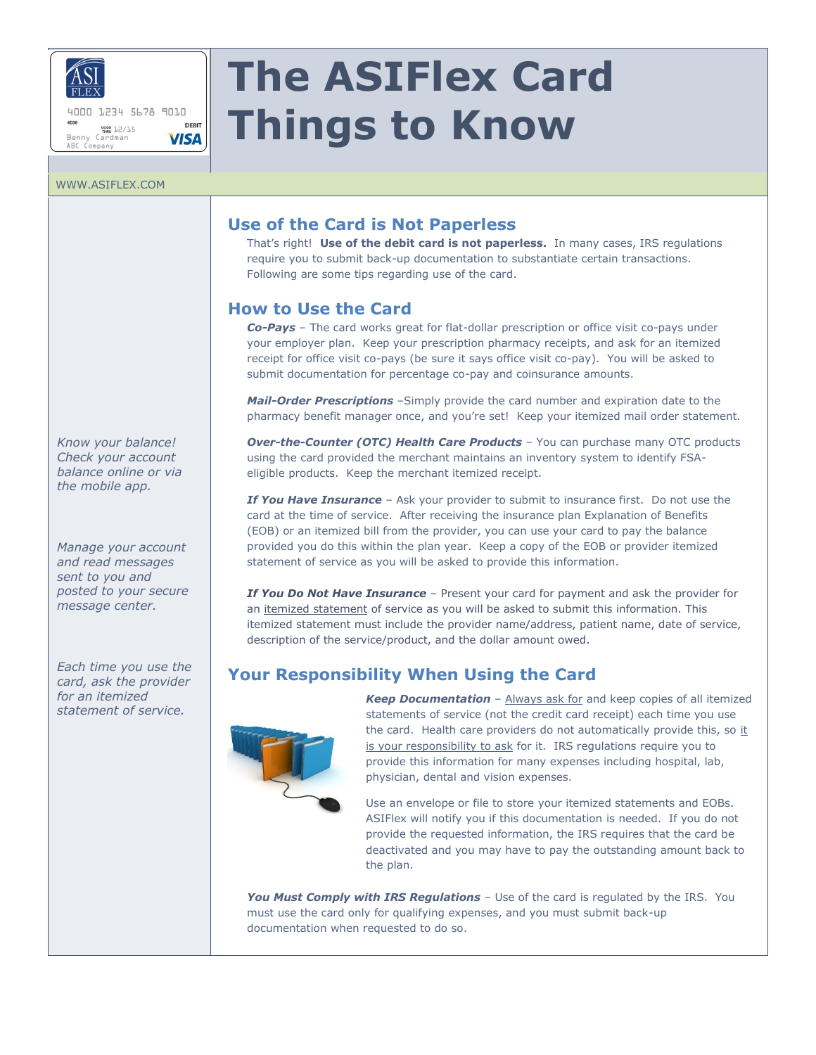

ABC Company

4000 1234 5678 9010 DERIT www.<br>Benny Cardman<br>Benny Cardman **VISA** 

# **The ASIFlex Card Things to Know**

#### WWW.ASIFLEX.COM

# **Use of the Card is Not Paperless**

That's right! **Use of the debit card is not paperless.** In many cases, IRS regulations require you to submit back-up documentation to substantiate certain transactions. Following are some tips regarding use of the card.

## **How to Use the Card**

*Co-Pays* – The card works great for flat-dollar prescription or office visit co-pays under your employer plan. Keep your prescription pharmacy receipts, and ask for an itemized receipt for office visit co-pays (be sure it says office visit co-pay). You will be asked to submit documentation for percentage co-pay and coinsurance amounts.

*Mail-Order Prescriptions* –Simply provide the card number and expiration date to the pharmacy benefit manager once, and you're set! Keep your itemized mail order statement.

*Over-the-Counter (OTC) Health Care Products* – You can purchase many OTC products using the card provided the merchant maintains an inventory system to identify FSAeligible products. Keep the merchant itemized receipt.

**If You Have Insurance** – Ask your provider to submit to insurance first. Do not use the card at the time of service. After receiving the insurance plan Explanation of Benefits (EOB) or an itemized bill from the provider, you can use your card to pay the balance provided you do this within the plan year. Keep a copy of the EOB or provider itemized statement of service as you will be asked to provide this information.

*If You Do Not Have Insurance* – Present your card for payment and ask the provider for an itemized statement of service as you will be asked to submit this information. This itemized statement must include the provider name/address, patient name, date of service, description of the service/product, and the dollar amount owed.

# **Your Responsibility When Using the Card**



*Keep Documentation* – Always ask for and keep copies of all itemized statements of service (not the credit card receipt) each time you use the card. Health care providers do not automatically provide this, so it is your responsibility to ask for it. IRS regulations require you to provide this information for many expenses including hospital, lab, physician, dental and vision expenses.

Use an envelope or file to store your itemized statements and EOBs. ASIFlex will notify you if this documentation is needed. If you do not provide the requested information, the IRS requires that the card be deactivated and you may have to pay the outstanding amount back to the plan.

*You Must Comply with IRS Regulations* – Use of the card is regulated by the IRS. You must use the card only for qualifying expenses, and you must submit back-up documentation when requested to do so.

*Know your balance! Check your account balance online or via the mobile app.*

*Manage your account and read messages sent to you and posted to your secure message center.*

*Each time you use the card, ask the provider for an itemized statement of service.*